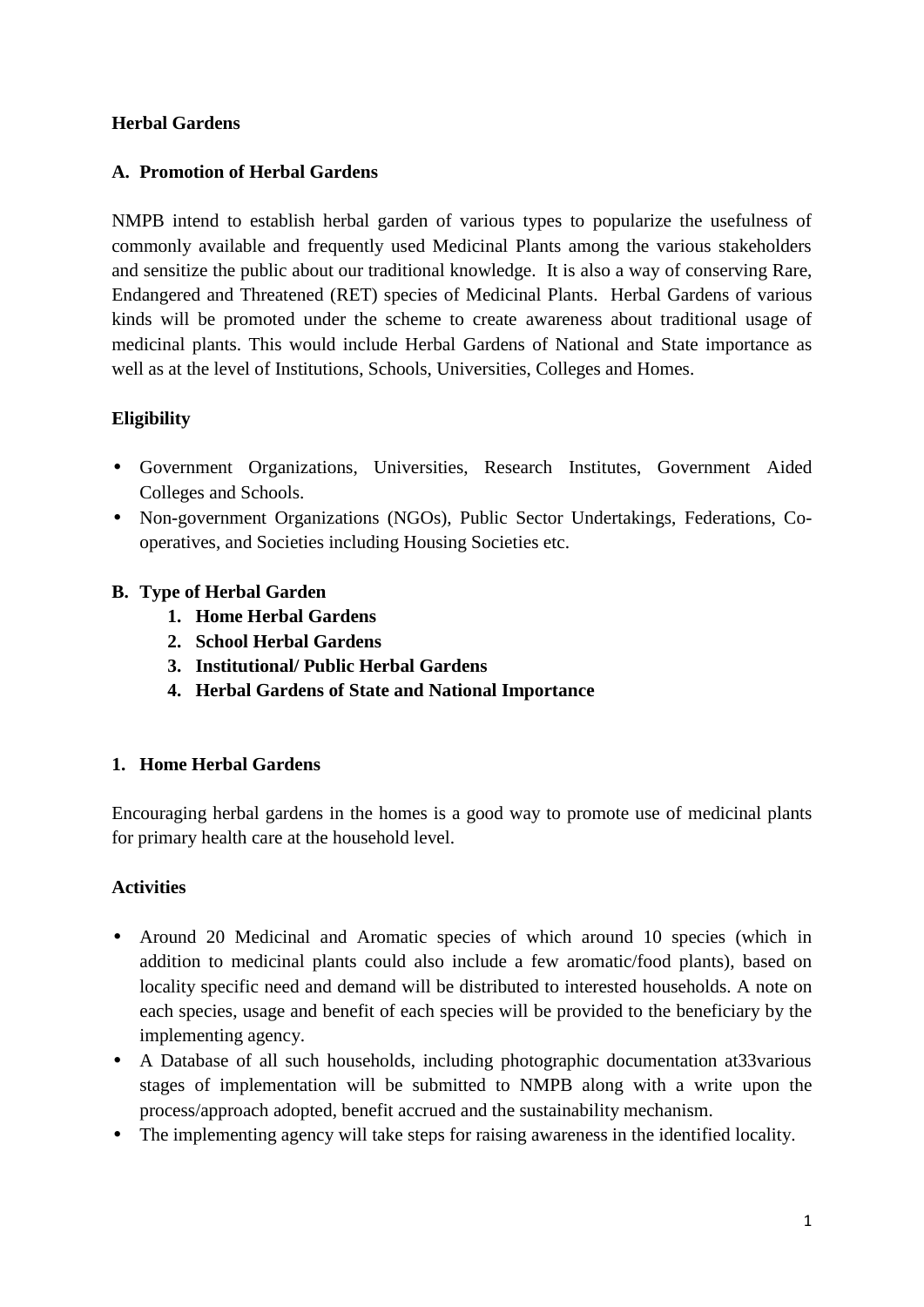## **Herbal Gardens**

## **A. Promotion of Herbal Gardens**

NMPB intend to establish herbal garden of various types to popularize the usefulness of commonly available and frequently used Medicinal Plants among the various stakeholders and sensitize the public about our traditional knowledge. It is also a way of conserving Rare, Endangered and Threatened (RET) species of Medicinal Plants. Herbal Gardens of various kinds will be promoted under the scheme to create awareness about traditional usage of medicinal plants. This would include Herbal Gardens of National and State importance as well as at the level of Institutions, Schools, Universities, Colleges and Homes.

## **Eligibility**

- Government Organizations, Universities, Research Institutes, Government Aided Colleges and Schools.
- Non-government Organizations (NGOs), Public Sector Undertakings, Federations, Cooperatives, and Societies including Housing Societies etc.

## **B. Type of Herbal Garden**

- **1. Home Herbal Gardens**
- **2. School Herbal Gardens**
- **3. Institutional/ Public Herbal Gardens**
- **4. Herbal Gardens of State and National Importance**

#### **1. Home Herbal Gardens**

Encouraging herbal gardens in the homes is a good way to promote use of medicinal plants for primary health care at the household level.

#### **Activities**

- Around 20 Medicinal and Aromatic species of which around 10 species (which in addition to medicinal plants could also include a few aromatic/food plants), based on locality specific need and demand will be distributed to interested households. A note on each species, usage and benefit of each species will be provided to the beneficiary by the implementing agency.
- A Database of all such households, including photographic documentation at33various stages of implementation will be submitted to NMPB along with a write upon the process/approach adopted, benefit accrued and the sustainability mechanism.
- The implementing agency will take steps for raising awareness in the identified locality.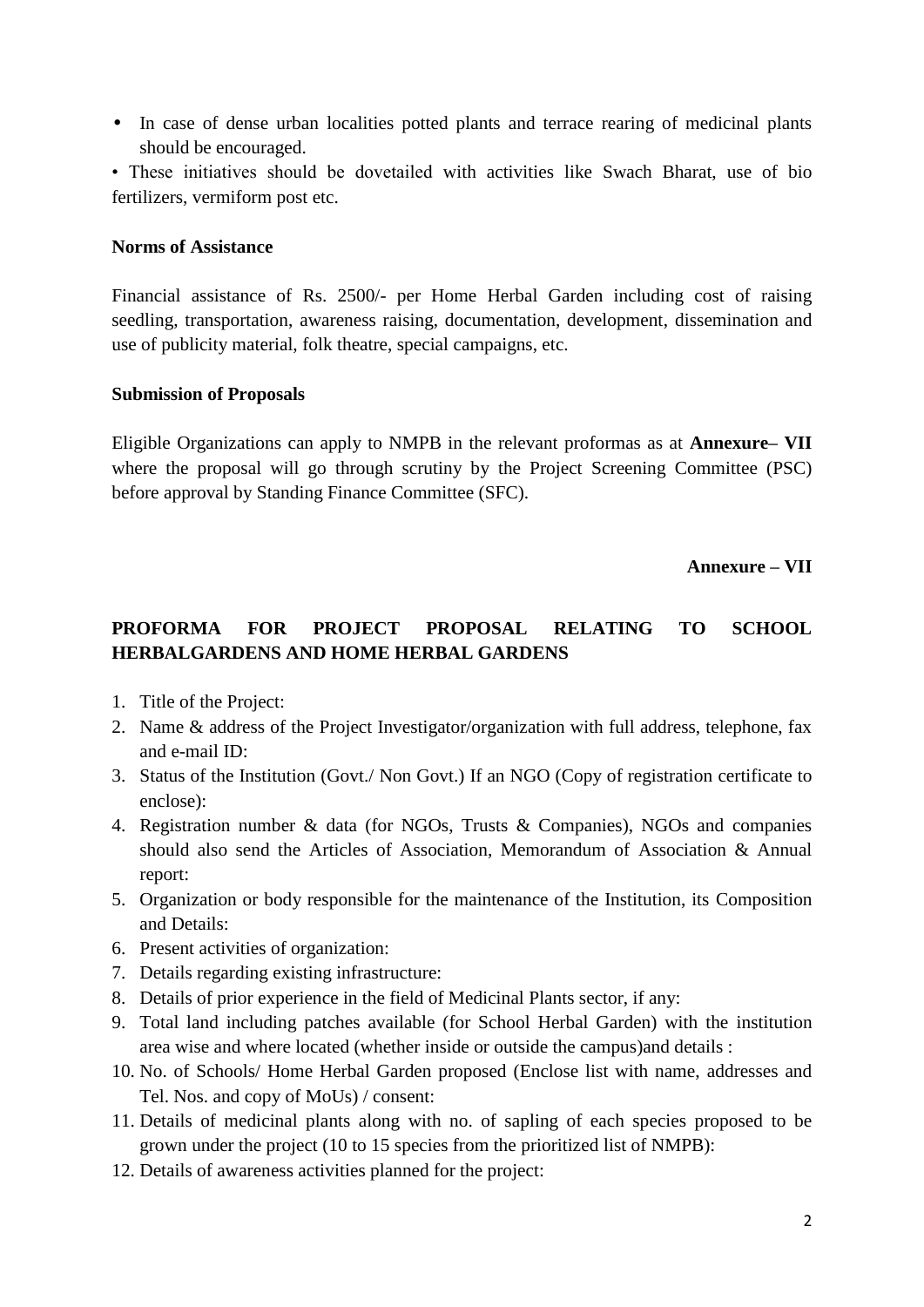• In case of dense urban localities potted plants and terrace rearing of medicinal plants should be encouraged.

• These initiatives should be dovetailed with activities like Swach Bharat, use of bio fertilizers, vermiform post etc.

#### **Norms of Assistance**

Financial assistance of Rs. 2500/- per Home Herbal Garden including cost of raising seedling, transportation, awareness raising, documentation, development, dissemination and use of publicity material, folk theatre, special campaigns, etc.

#### **Submission of Proposals**

Eligible Organizations can apply to NMPB in the relevant proformas as at **Annexure– VII** where the proposal will go through scrutiny by the Project Screening Committee (PSC) before approval by Standing Finance Committee (SFC).

#### **Annexure – VII**

# **PROFORMA FOR PROJECT PROPOSAL RELATING TO SCHOOL HERBALGARDENS AND HOME HERBAL GARDENS**

- 1. Title of the Project:
- 2. Name & address of the Project Investigator/organization with full address, telephone, fax and e-mail ID:
- 3. Status of the Institution (Govt./ Non Govt.) If an NGO (Copy of registration certificate to enclose):
- 4. Registration number & data (for NGOs, Trusts & Companies), NGOs and companies should also send the Articles of Association, Memorandum of Association & Annual report:
- 5. Organization or body responsible for the maintenance of the Institution, its Composition and Details:
- 6. Present activities of organization:
- 7. Details regarding existing infrastructure:
- 8. Details of prior experience in the field of Medicinal Plants sector, if any:
- 9. Total land including patches available (for School Herbal Garden) with the institution area wise and where located (whether inside or outside the campus)and details :
- 10. No. of Schools/ Home Herbal Garden proposed (Enclose list with name, addresses and Tel. Nos. and copy of MoUs) / consent:
- 11. Details of medicinal plants along with no. of sapling of each species proposed to be grown under the project (10 to 15 species from the prioritized list of NMPB):
- 12. Details of awareness activities planned for the project: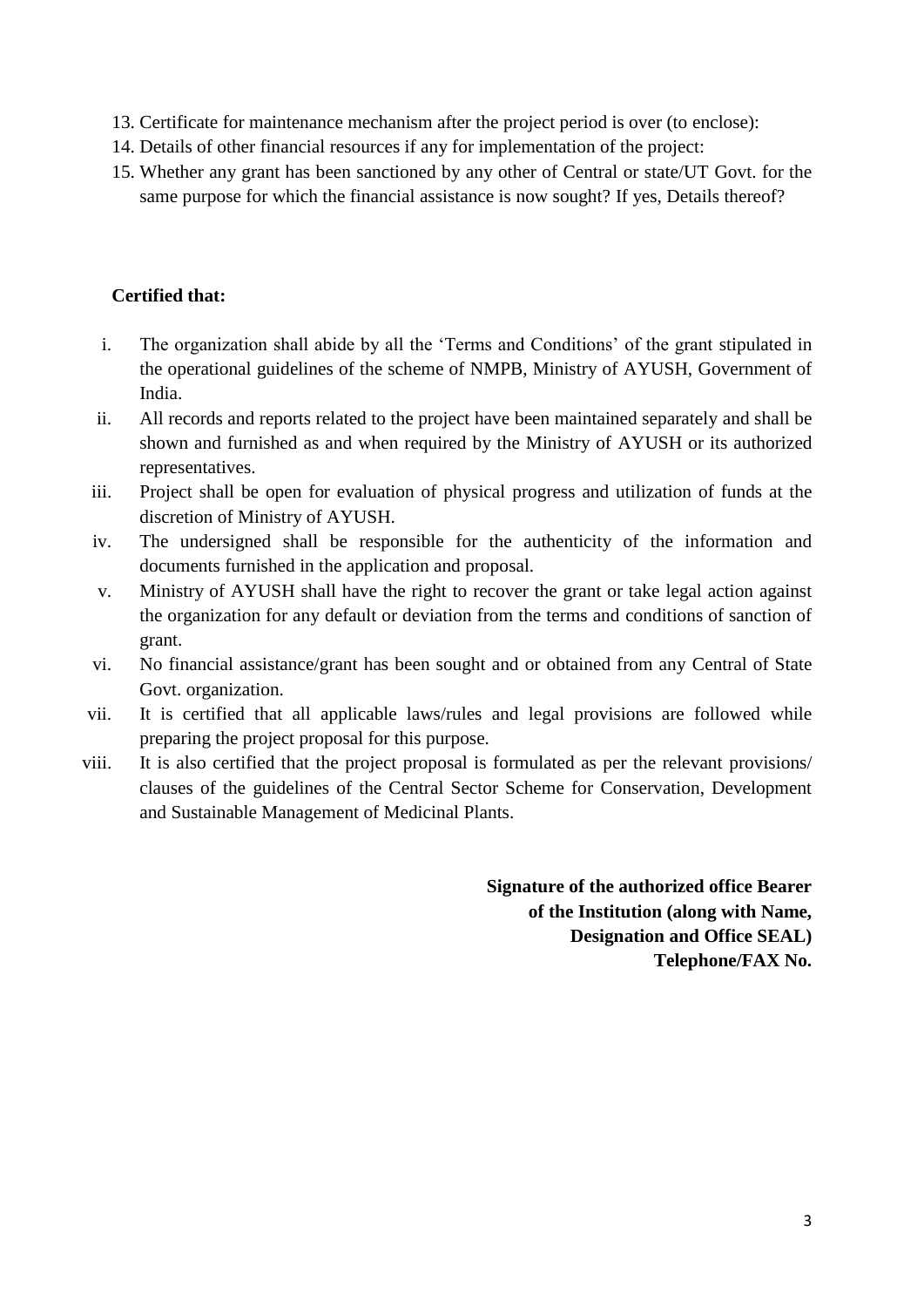- 13. Certificate for maintenance mechanism after the project period is over (to enclose):
- 14. Details of other financial resources if any for implementation of the project:
- 15. Whether any grant has been sanctioned by any other of Central or state/UT Govt. for the same purpose for which the financial assistance is now sought? If yes, Details thereof?

## **Certified that:**

- i. The organization shall abide by all the 'Terms and Conditions' of the grant stipulated in the operational guidelines of the scheme of NMPB, Ministry of AYUSH, Government of India.
- ii. All records and reports related to the project have been maintained separately and shall be shown and furnished as and when required by the Ministry of AYUSH or its authorized representatives.
- iii. Project shall be open for evaluation of physical progress and utilization of funds at the discretion of Ministry of AYUSH.
- iv. The undersigned shall be responsible for the authenticity of the information and documents furnished in the application and proposal.
- v. Ministry of AYUSH shall have the right to recover the grant or take legal action against the organization for any default or deviation from the terms and conditions of sanction of grant.
- vi. No financial assistance/grant has been sought and or obtained from any Central of State Govt. organization.
- vii. It is certified that all applicable laws/rules and legal provisions are followed while preparing the project proposal for this purpose.
- viii. It is also certified that the project proposal is formulated as per the relevant provisions/ clauses of the guidelines of the Central Sector Scheme for Conservation, Development and Sustainable Management of Medicinal Plants.

**Signature of the authorized office Bearer of the Institution (along with Name, Designation and Office SEAL) Telephone/FAX No.**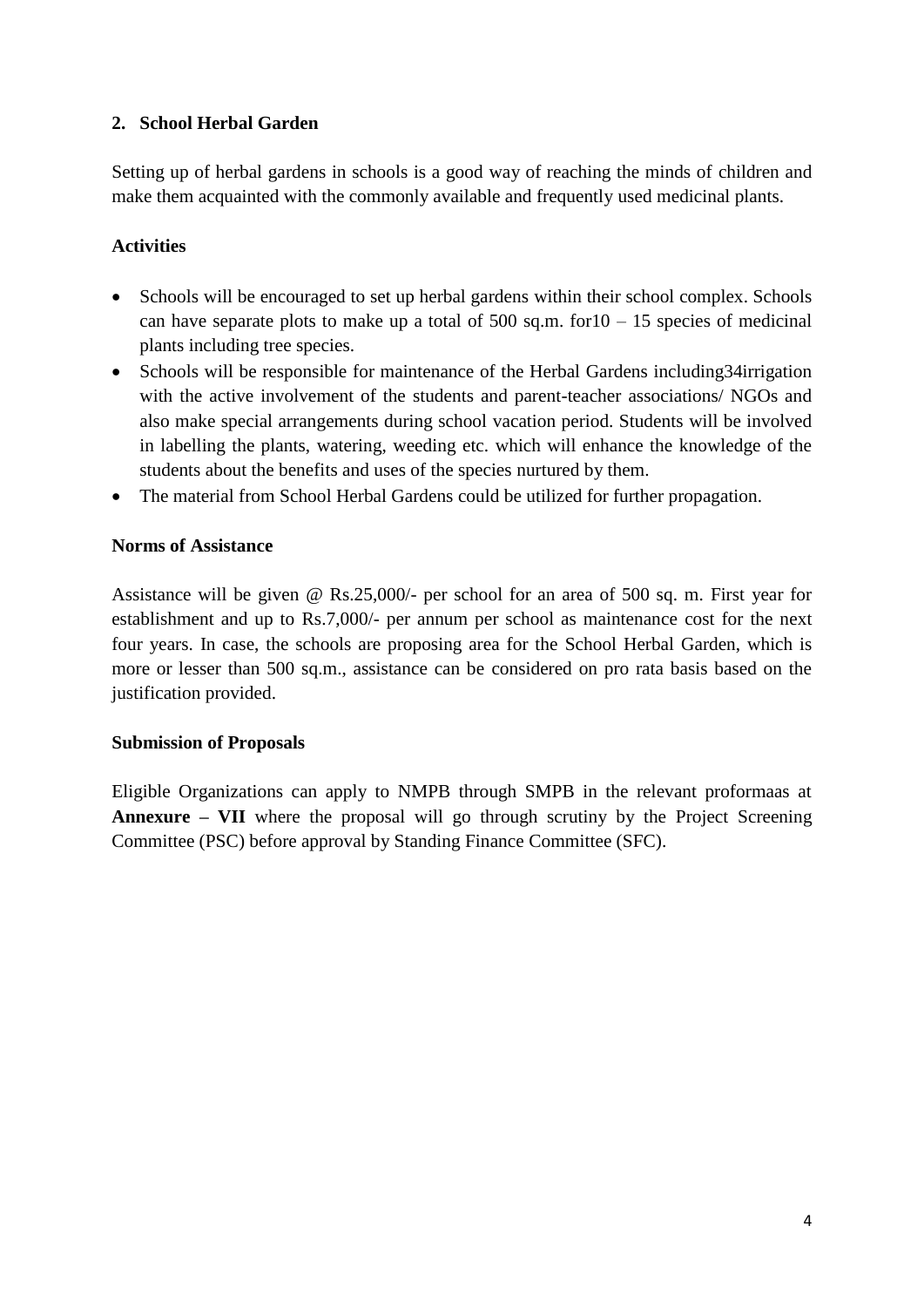## **2. School Herbal Garden**

Setting up of herbal gardens in schools is a good way of reaching the minds of children and make them acquainted with the commonly available and frequently used medicinal plants.

## **Activities**

- Schools will be encouraged to set up herbal gardens within their school complex. Schools can have separate plots to make up a total of  $500$  sq.m. for  $10 - 15$  species of medicinal plants including tree species.
- Schools will be responsible for maintenance of the Herbal Gardens including 34 irrigation with the active involvement of the students and parent-teacher associations/ NGOs and also make special arrangements during school vacation period. Students will be involved in labelling the plants, watering, weeding etc. which will enhance the knowledge of the students about the benefits and uses of the species nurtured by them.
- The material from School Herbal Gardens could be utilized for further propagation.

#### **Norms of Assistance**

Assistance will be given @ Rs.25,000/- per school for an area of 500 sq. m. First year for establishment and up to Rs.7,000/- per annum per school as maintenance cost for the next four years. In case, the schools are proposing area for the School Herbal Garden, which is more or lesser than 500 sq.m., assistance can be considered on pro rata basis based on the justification provided.

#### **Submission of Proposals**

Eligible Organizations can apply to NMPB through SMPB in the relevant proformaas at **Annexure – VII** where the proposal will go through scrutiny by the Project Screening Committee (PSC) before approval by Standing Finance Committee (SFC).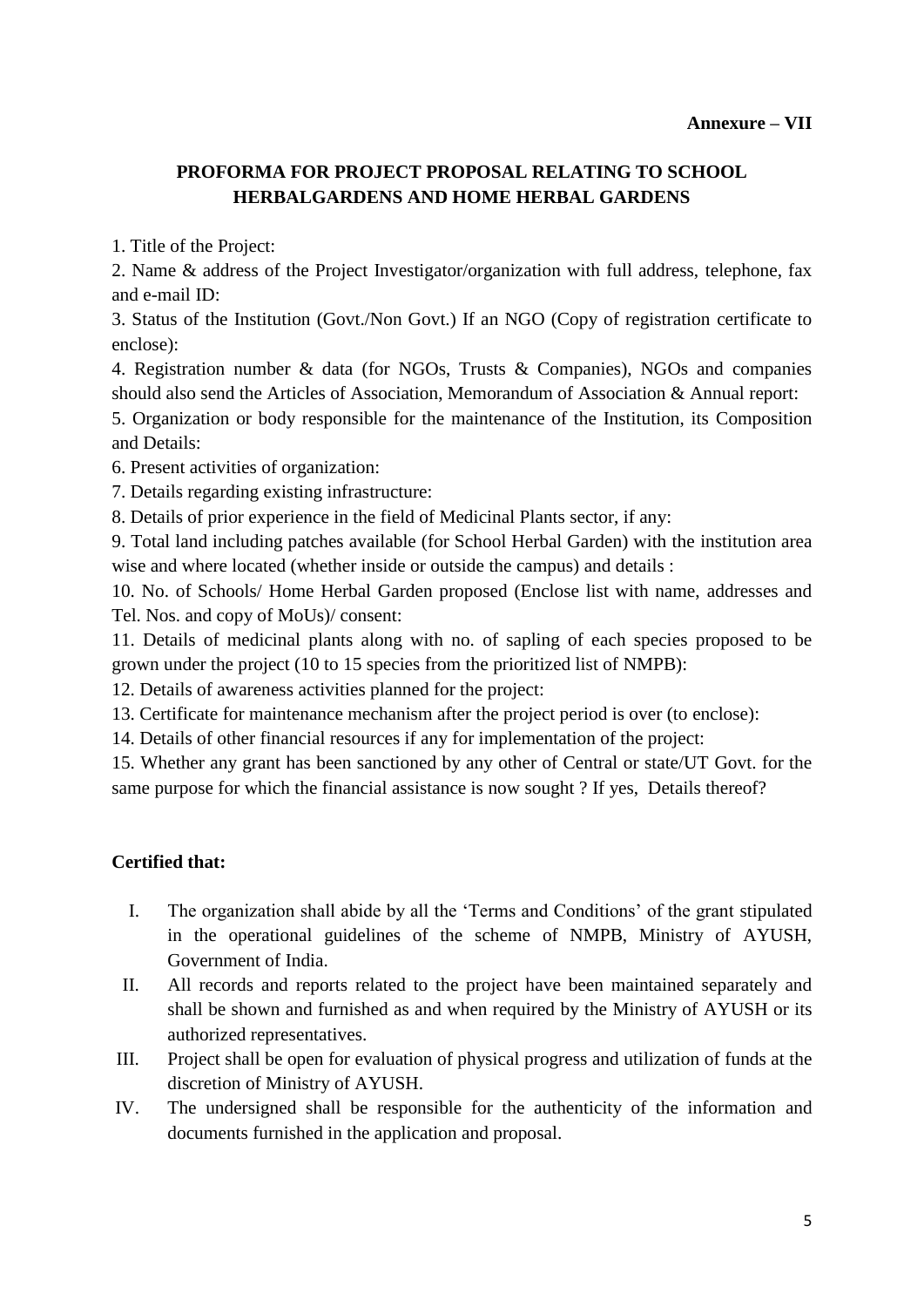## **PROFORMA FOR PROJECT PROPOSAL RELATING TO SCHOOL HERBALGARDENS AND HOME HERBAL GARDENS**

1. Title of the Project:

2. Name & address of the Project Investigator/organization with full address, telephone, fax and e-mail ID:

3. Status of the Institution (Govt./Non Govt.) If an NGO (Copy of registration certificate to enclose):

4. Registration number & data (for NGOs, Trusts & Companies), NGOs and companies should also send the Articles of Association, Memorandum of Association & Annual report:

5. Organization or body responsible for the maintenance of the Institution, its Composition and Details:

6. Present activities of organization:

7. Details regarding existing infrastructure:

8. Details of prior experience in the field of Medicinal Plants sector, if any:

9. Total land including patches available (for School Herbal Garden) with the institution area wise and where located (whether inside or outside the campus) and details :

10. No. of Schools/ Home Herbal Garden proposed (Enclose list with name, addresses and Tel. Nos. and copy of MoUs)/ consent:

11. Details of medicinal plants along with no. of sapling of each species proposed to be grown under the project (10 to 15 species from the prioritized list of NMPB):

12. Details of awareness activities planned for the project:

13. Certificate for maintenance mechanism after the project period is over (to enclose):

14. Details of other financial resources if any for implementation of the project:

15. Whether any grant has been sanctioned by any other of Central or state/UT Govt. for the same purpose for which the financial assistance is now sought ? If yes, Details thereof?

#### **Certified that:**

- I. The organization shall abide by all the 'Terms and Conditions' of the grant stipulated in the operational guidelines of the scheme of NMPB, Ministry of AYUSH, Government of India.
- II. All records and reports related to the project have been maintained separately and shall be shown and furnished as and when required by the Ministry of AYUSH or its authorized representatives.
- III. Project shall be open for evaluation of physical progress and utilization of funds at the discretion of Ministry of AYUSH.
- IV. The undersigned shall be responsible for the authenticity of the information and documents furnished in the application and proposal.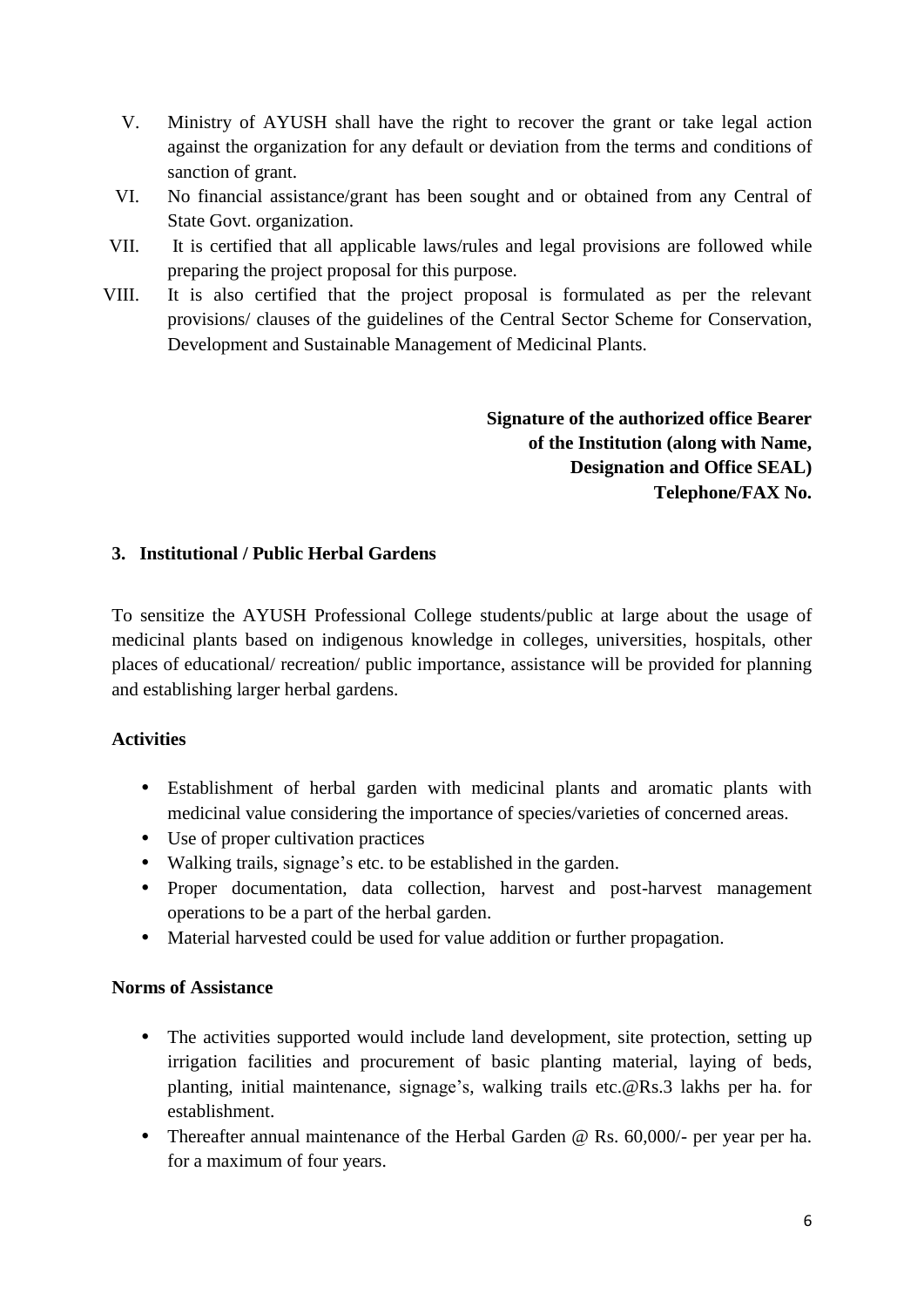- V. Ministry of AYUSH shall have the right to recover the grant or take legal action against the organization for any default or deviation from the terms and conditions of sanction of grant.
- VI. No financial assistance/grant has been sought and or obtained from any Central of State Govt. organization.
- VII. It is certified that all applicable laws/rules and legal provisions are followed while preparing the project proposal for this purpose.
- VIII. It is also certified that the project proposal is formulated as per the relevant provisions/ clauses of the guidelines of the Central Sector Scheme for Conservation, Development and Sustainable Management of Medicinal Plants.

**Signature of the authorized office Bearer of the Institution (along with Name, Designation and Office SEAL) Telephone/FAX No.**

## **3. Institutional / Public Herbal Gardens**

To sensitize the AYUSH Professional College students/public at large about the usage of medicinal plants based on indigenous knowledge in colleges, universities, hospitals, other places of educational/ recreation/ public importance, assistance will be provided for planning and establishing larger herbal gardens.

#### **Activities**

- Establishment of herbal garden with medicinal plants and aromatic plants with medicinal value considering the importance of species/varieties of concerned areas.
- Use of proper cultivation practices
- Walking trails, signage's etc. to be established in the garden.
- Proper documentation, data collection, harvest and post-harvest management operations to be a part of the herbal garden.
- Material harvested could be used for value addition or further propagation.

#### **Norms of Assistance**

- The activities supported would include land development, site protection, setting up irrigation facilities and procurement of basic planting material, laying of beds, planting, initial maintenance, signage's, walking trails etc.@Rs.3 lakhs per ha. for establishment.
- Thereafter annual maintenance of the Herbal Garden @ Rs. 60,000/- per year per ha. for a maximum of four years.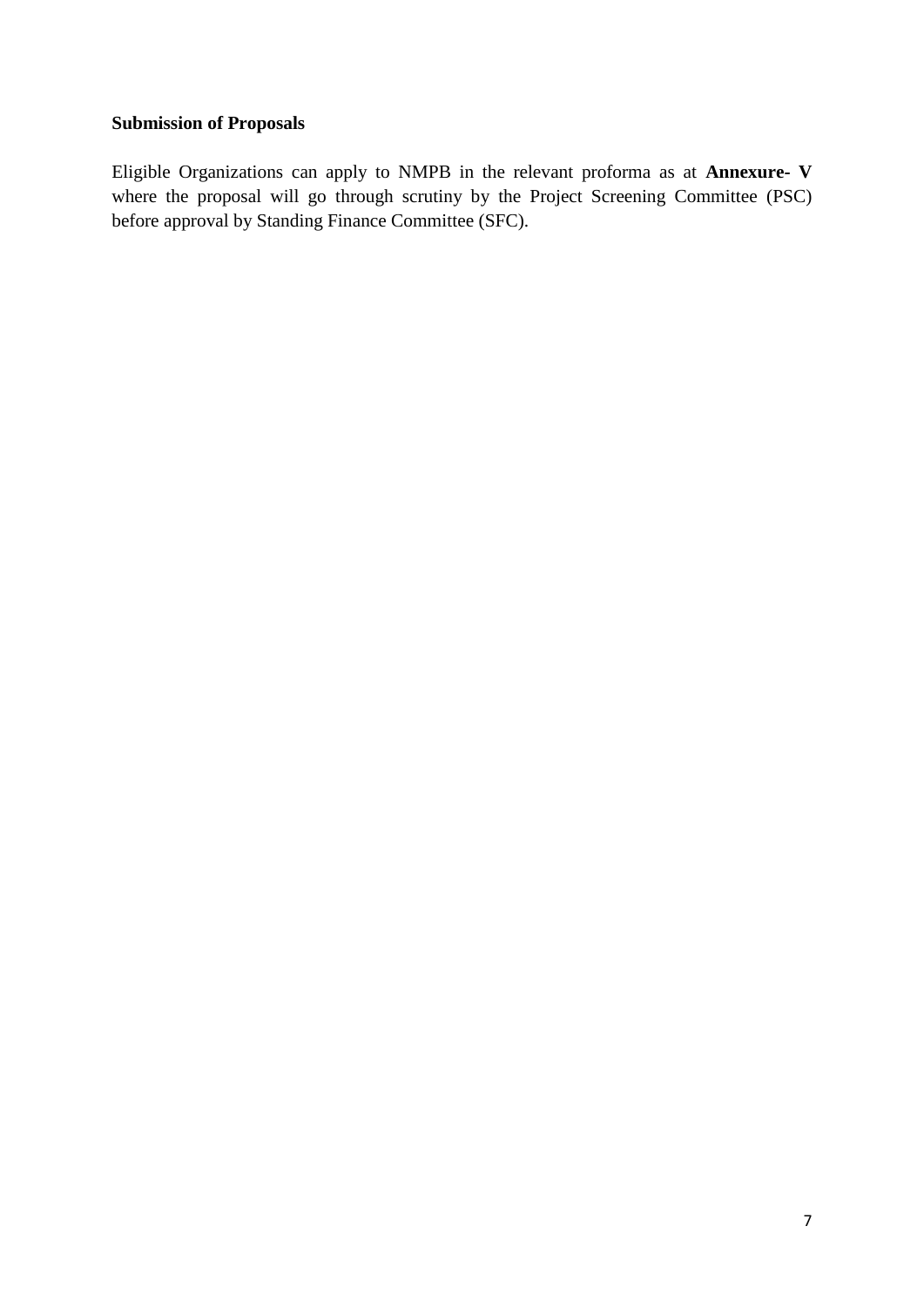## **Submission of Proposals**

Eligible Organizations can apply to NMPB in the relevant proforma as at **Annexure- V**  where the proposal will go through scrutiny by the Project Screening Committee (PSC) before approval by Standing Finance Committee (SFC).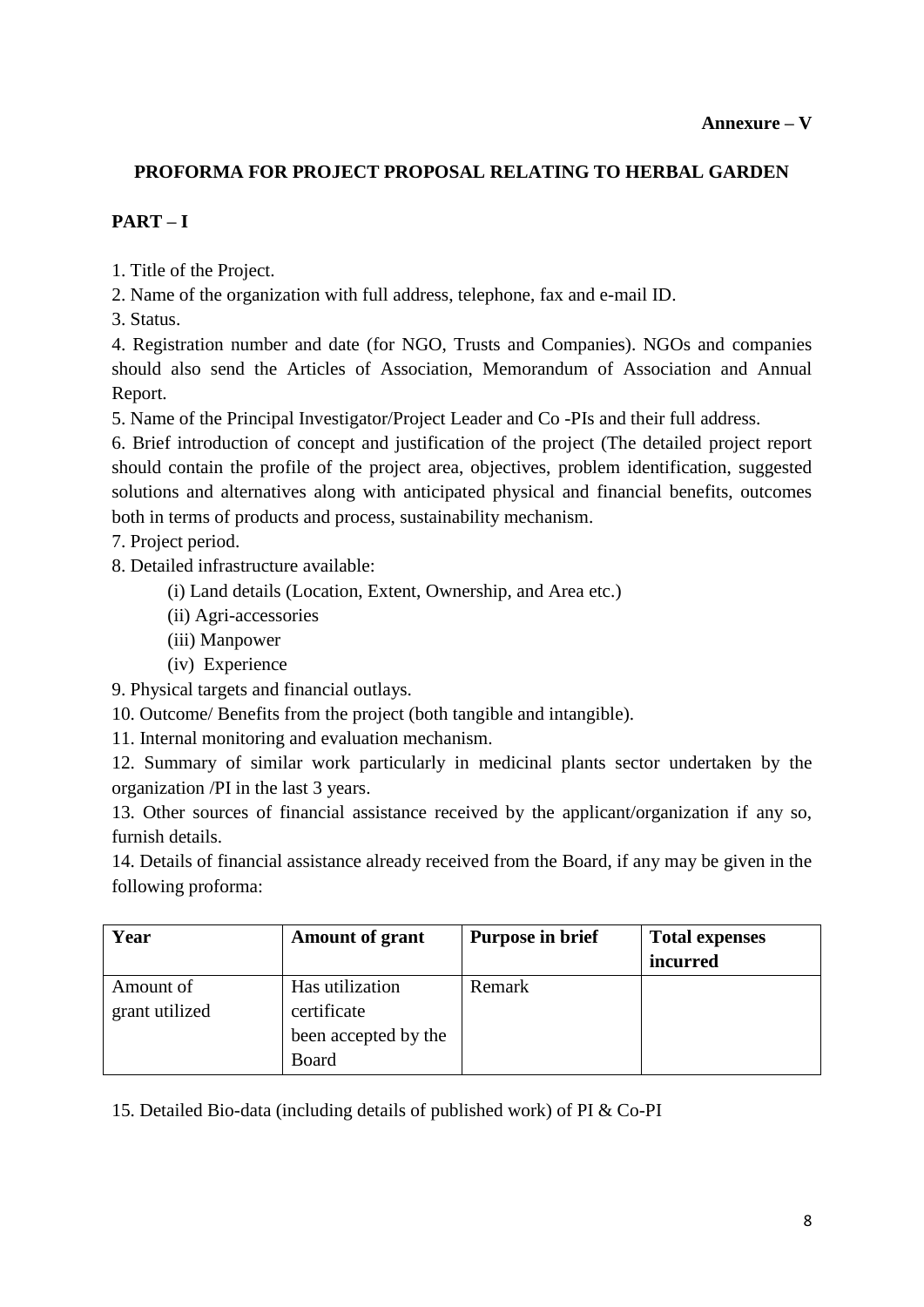## **PROFORMA FOR PROJECT PROPOSAL RELATING TO HERBAL GARDEN**

# **PART – I**

1. Title of the Project.

2. Name of the organization with full address, telephone, fax and e-mail ID.

3. Status.

4. Registration number and date (for NGO, Trusts and Companies). NGOs and companies should also send the Articles of Association, Memorandum of Association and Annual Report.

5. Name of the Principal Investigator/Project Leader and Co -PIs and their full address.

6. Brief introduction of concept and justification of the project (The detailed project report should contain the profile of the project area, objectives, problem identification, suggested solutions and alternatives along with anticipated physical and financial benefits, outcomes both in terms of products and process, sustainability mechanism.

7. Project period.

8. Detailed infrastructure available:

- (i) Land details (Location, Extent, Ownership, and Area etc.)
- (ii) Agri-accessories
- (iii) Manpower
- (iv) Experience
- 9. Physical targets and financial outlays.

10. Outcome/ Benefits from the project (both tangible and intangible).

11. Internal monitoring and evaluation mechanism.

12. Summary of similar work particularly in medicinal plants sector undertaken by the organization /PI in the last 3 years.

13. Other sources of financial assistance received by the applicant/organization if any so, furnish details.

14. Details of financial assistance already received from the Board, if any may be given in the following proforma:

| Year           | <b>Amount of grant</b> | <b>Purpose in brief</b> | <b>Total expenses</b> |
|----------------|------------------------|-------------------------|-----------------------|
|                |                        |                         | incurred              |
| Amount of      | Has utilization        | Remark                  |                       |
| grant utilized | certificate            |                         |                       |
|                | been accepted by the   |                         |                       |
|                | Board                  |                         |                       |

15. Detailed Bio-data (including details of published work) of PI & Co-PI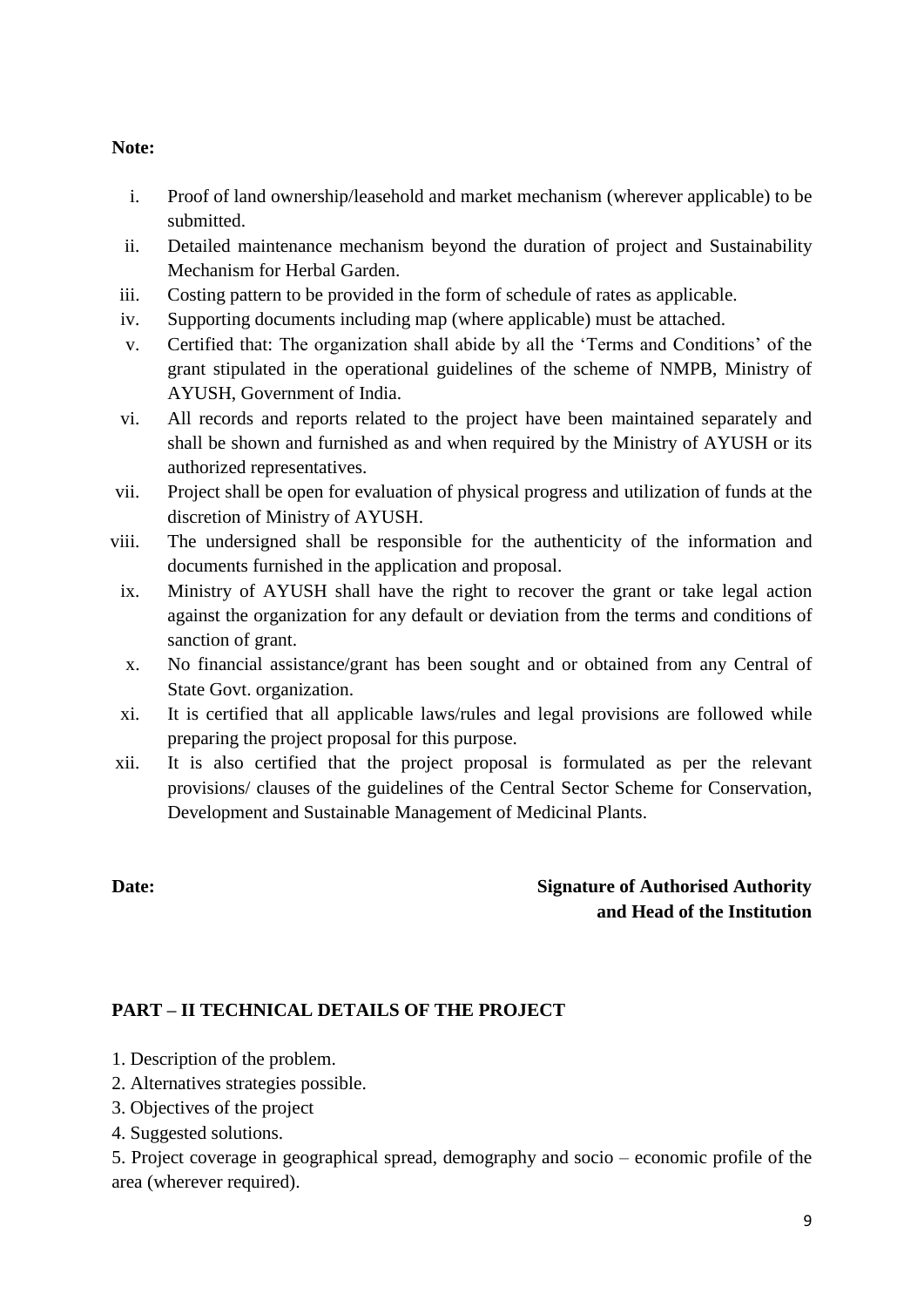#### **Note:**

- i. Proof of land ownership/leasehold and market mechanism (wherever applicable) to be submitted.
- ii. Detailed maintenance mechanism beyond the duration of project and Sustainability Mechanism for Herbal Garden.
- iii. Costing pattern to be provided in the form of schedule of rates as applicable.
- iv. Supporting documents including map (where applicable) must be attached.
- v. Certified that: The organization shall abide by all the 'Terms and Conditions' of the grant stipulated in the operational guidelines of the scheme of NMPB, Ministry of AYUSH, Government of India.
- vi. All records and reports related to the project have been maintained separately and shall be shown and furnished as and when required by the Ministry of AYUSH or its authorized representatives.
- vii. Project shall be open for evaluation of physical progress and utilization of funds at the discretion of Ministry of AYUSH.
- viii. The undersigned shall be responsible for the authenticity of the information and documents furnished in the application and proposal.
- ix. Ministry of AYUSH shall have the right to recover the grant or take legal action against the organization for any default or deviation from the terms and conditions of sanction of grant.
- x. No financial assistance/grant has been sought and or obtained from any Central of State Govt. organization.
- xi. It is certified that all applicable laws/rules and legal provisions are followed while preparing the project proposal for this purpose.
- xii. It is also certified that the project proposal is formulated as per the relevant provisions/ clauses of the guidelines of the Central Sector Scheme for Conservation, Development and Sustainable Management of Medicinal Plants.

## **Date: Signature of Authorised Authority and Head of the Institution**

#### **PART – II TECHNICAL DETAILS OF THE PROJECT**

- 1. Description of the problem.
- 2. Alternatives strategies possible.
- 3. Objectives of the project
- 4. Suggested solutions.

5. Project coverage in geographical spread, demography and socio – economic profile of the area (wherever required).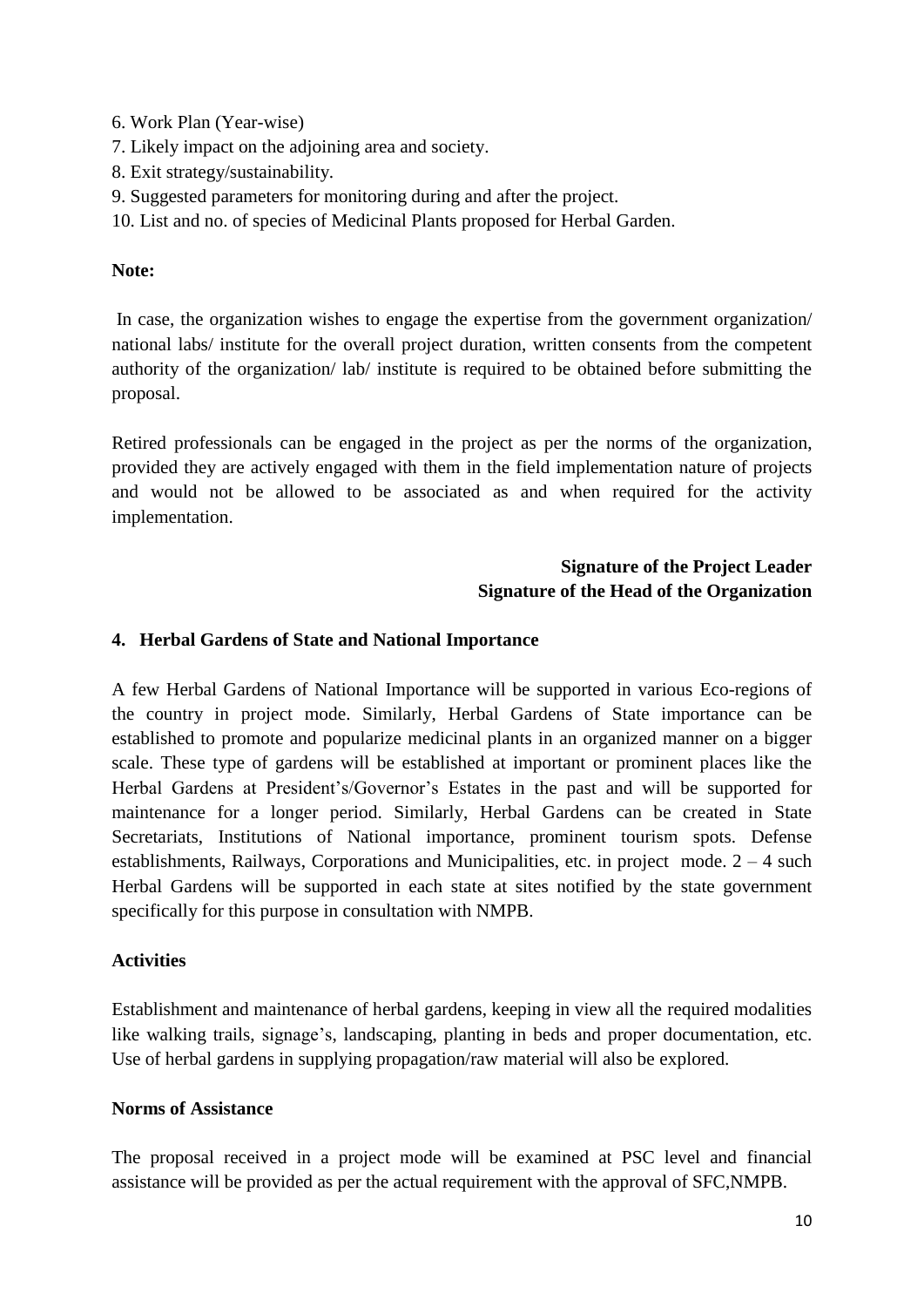6. Work Plan (Year-wise)

- 7. Likely impact on the adjoining area and society.
- 8. Exit strategy/sustainability.
- 9. Suggested parameters for monitoring during and after the project.
- 10. List and no. of species of Medicinal Plants proposed for Herbal Garden.

## **Note:**

In case, the organization wishes to engage the expertise from the government organization/ national labs/ institute for the overall project duration, written consents from the competent authority of the organization/ lab/ institute is required to be obtained before submitting the proposal.

Retired professionals can be engaged in the project as per the norms of the organization, provided they are actively engaged with them in the field implementation nature of projects and would not be allowed to be associated as and when required for the activity implementation.

## **Signature of the Project Leader Signature of the Head of the Organization**

#### **4. Herbal Gardens of State and National Importance**

A few Herbal Gardens of National Importance will be supported in various Eco-regions of the country in project mode. Similarly, Herbal Gardens of State importance can be established to promote and popularize medicinal plants in an organized manner on a bigger scale. These type of gardens will be established at important or prominent places like the Herbal Gardens at President's/Governor's Estates in the past and will be supported for maintenance for a longer period. Similarly, Herbal Gardens can be created in State Secretariats, Institutions of National importance, prominent tourism spots. Defense establishments, Railways, Corporations and Municipalities, etc. in project mode.  $2 - 4$  such Herbal Gardens will be supported in each state at sites notified by the state government specifically for this purpose in consultation with NMPB.

#### **Activities**

Establishment and maintenance of herbal gardens, keeping in view all the required modalities like walking trails, signage's, landscaping, planting in beds and proper documentation, etc. Use of herbal gardens in supplying propagation/raw material will also be explored.

#### **Norms of Assistance**

The proposal received in a project mode will be examined at PSC level and financial assistance will be provided as per the actual requirement with the approval of SFC,NMPB.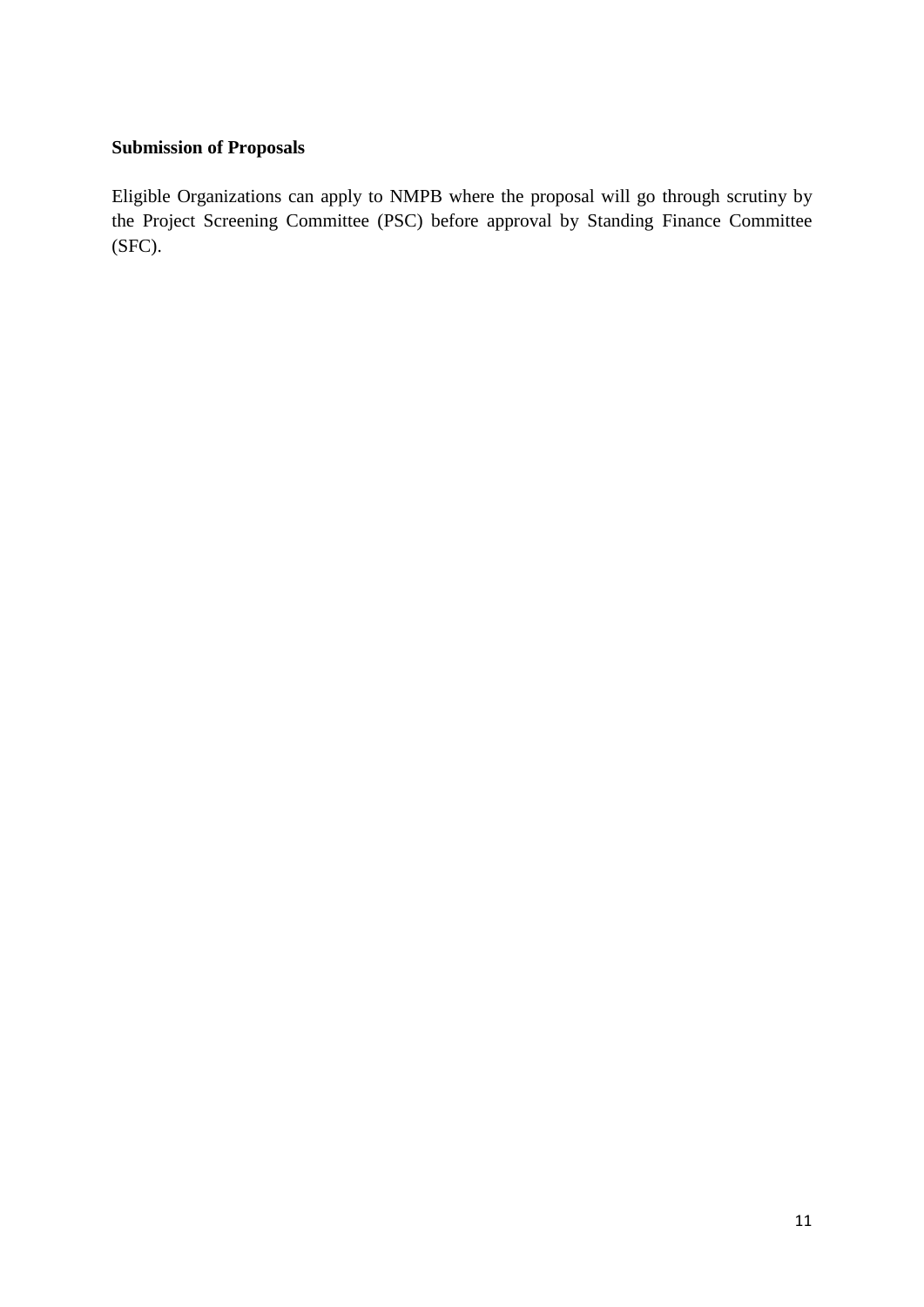## **Submission of Proposals**

Eligible Organizations can apply to NMPB where the proposal will go through scrutiny by the Project Screening Committee (PSC) before approval by Standing Finance Committee (SFC).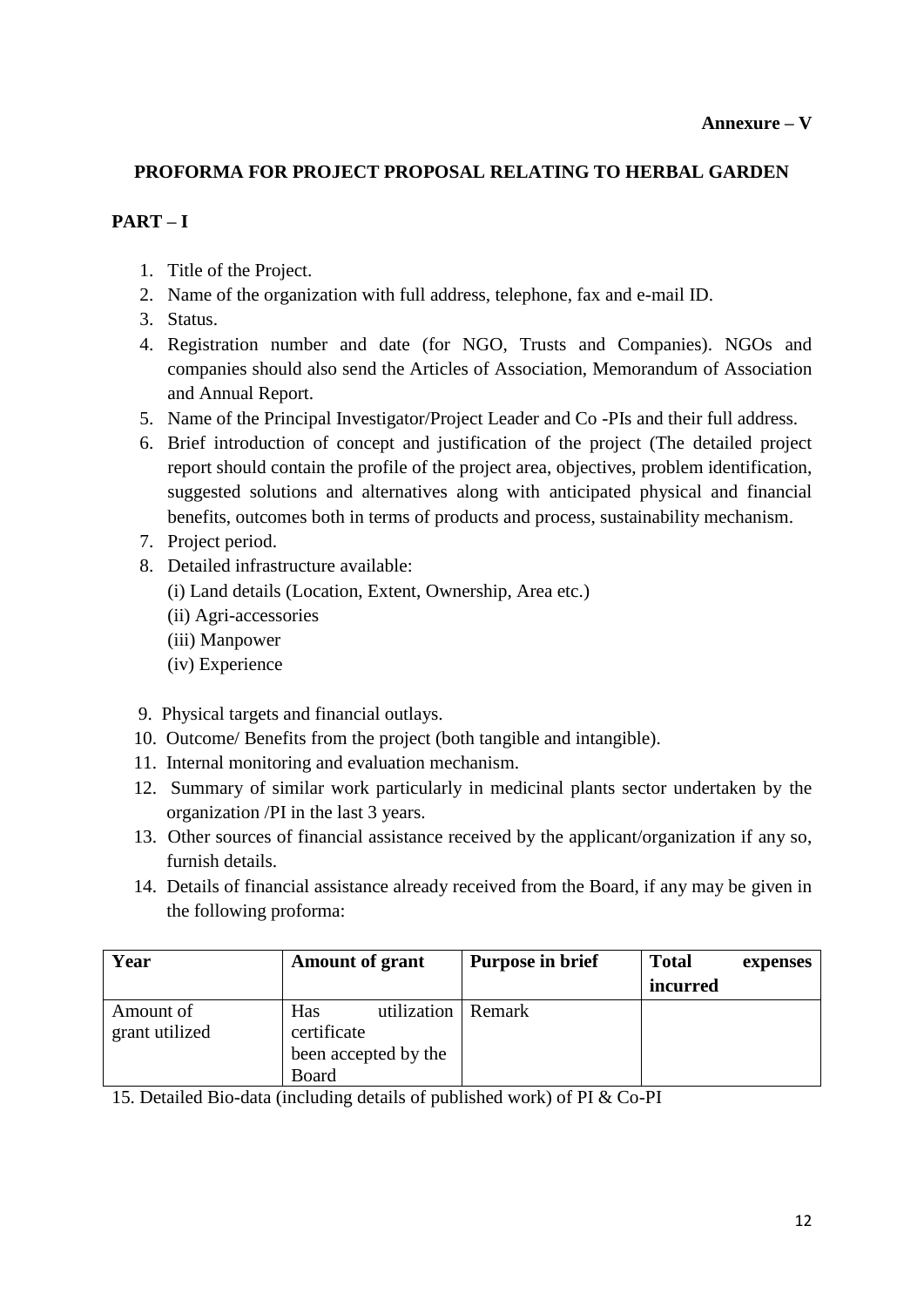## **PROFORMA FOR PROJECT PROPOSAL RELATING TO HERBAL GARDEN**

## **PART – I**

- 1. Title of the Project.
- 2. Name of the organization with full address, telephone, fax and e-mail ID.
- 3. Status.
- 4. Registration number and date (for NGO, Trusts and Companies). NGOs and companies should also send the Articles of Association, Memorandum of Association and Annual Report.
- 5. Name of the Principal Investigator/Project Leader and Co -PIs and their full address.
- 6. Brief introduction of concept and justification of the project (The detailed project report should contain the profile of the project area, objectives, problem identification, suggested solutions and alternatives along with anticipated physical and financial benefits, outcomes both in terms of products and process, sustainability mechanism.
- 7. Project period.
- 8. Detailed infrastructure available:
	- (i) Land details (Location, Extent, Ownership, Area etc.)
	- (ii) Agri-accessories
	- (iii) Manpower
	- (iv) Experience
- 9. Physical targets and financial outlays.
- 10. Outcome/ Benefits from the project (both tangible and intangible).
- 11. Internal monitoring and evaluation mechanism.
- 12. Summary of similar work particularly in medicinal plants sector undertaken by the organization /PI in the last 3 years.
- 13. Other sources of financial assistance received by the applicant/organization if any so, furnish details.
- 14. Details of financial assistance already received from the Board, if any may be given in the following proforma:

| Year                        | <b>Amount of grant</b>                                                      | <b>Purpose in brief</b> | <b>Total</b><br>expenses |
|-----------------------------|-----------------------------------------------------------------------------|-------------------------|--------------------------|
|                             |                                                                             |                         | incurred                 |
| Amount of<br>grant utilized | utilization   Remark<br>Has<br>certificate<br>been accepted by the<br>Board |                         |                          |

15. Detailed Bio-data (including details of published work) of PI & Co-PI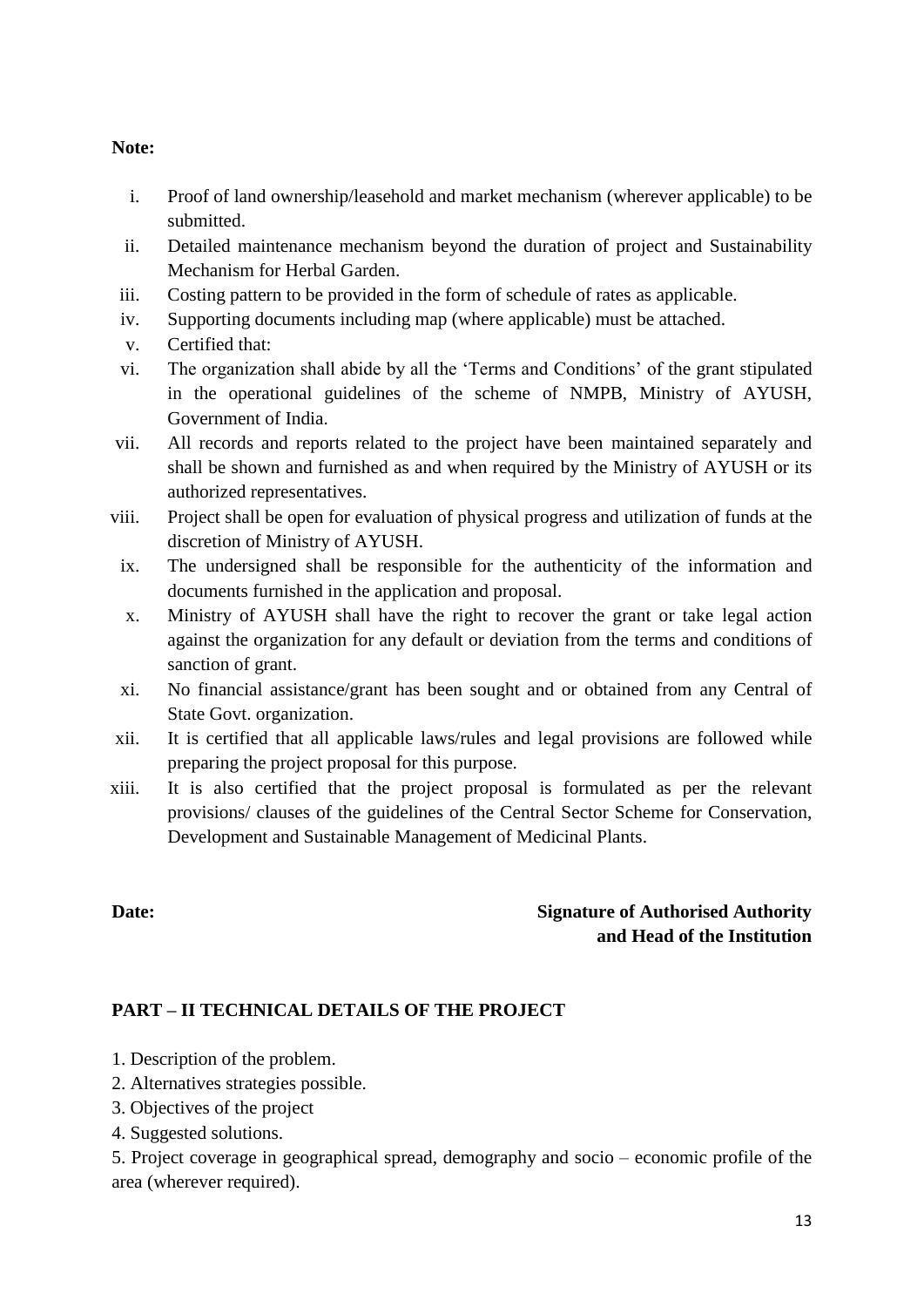#### **Note:**

- i. Proof of land ownership/leasehold and market mechanism (wherever applicable) to be submitted.
- ii. Detailed maintenance mechanism beyond the duration of project and Sustainability Mechanism for Herbal Garden.
- iii. Costing pattern to be provided in the form of schedule of rates as applicable.
- iv. Supporting documents including map (where applicable) must be attached.
- v. Certified that:
- vi. The organization shall abide by all the 'Terms and Conditions' of the grant stipulated in the operational guidelines of the scheme of NMPB, Ministry of AYUSH, Government of India.
- vii. All records and reports related to the project have been maintained separately and shall be shown and furnished as and when required by the Ministry of AYUSH or its authorized representatives.
- viii. Project shall be open for evaluation of physical progress and utilization of funds at the discretion of Ministry of AYUSH.
- ix. The undersigned shall be responsible for the authenticity of the information and documents furnished in the application and proposal.
- x. Ministry of AYUSH shall have the right to recover the grant or take legal action against the organization for any default or deviation from the terms and conditions of sanction of grant.
- xi. No financial assistance/grant has been sought and or obtained from any Central of State Govt. organization.
- xii. It is certified that all applicable laws/rules and legal provisions are followed while preparing the project proposal for this purpose.
- xiii. It is also certified that the project proposal is formulated as per the relevant provisions/ clauses of the guidelines of the Central Sector Scheme for Conservation, Development and Sustainable Management of Medicinal Plants.

# **Date: Signature of Authorised Authority and Head of the Institution**

## **PART – II TECHNICAL DETAILS OF THE PROJECT**

- 1. Description of the problem.
- 2. Alternatives strategies possible.
- 3. Objectives of the project
- 4. Suggested solutions.

5. Project coverage in geographical spread, demography and socio – economic profile of the area (wherever required).